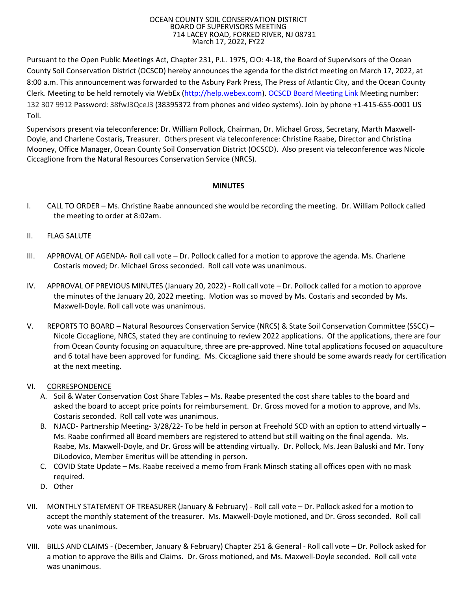## OCEAN COUNTY SOIL CONSERVATION DISTRICT BOARD OF SUPERVISORS MEETING 714 LACEY ROAD, FORKED RIVER, NJ 08731 March 17, 2022, FY22

Pursuant to the Open Public Meetings Act, Chapter 231, P.L. 1975, CIO: 4-18, the Board of Supervisors of the Ocean County Soil Conservation District (OCSCD) hereby announces the agenda for the district meeting on March 17, 2022, at 8:00 a.m. This announcement was forwarded to the Asbury Park Press, The Press of Atlantic City, and the Ocean County Clerk. Meeting to be held remotely via WebEx [\(http://help.webex.com\)](http://help.webex.com/). [OCSCD Board Meeting Link](https://oceancountysoilconservationdistrict.my.webex.com/wbxmjs/joinservice/sites/oceancountysoilconservationdistrict.my/meeting/download/5d3dc40e1c844d07a9687d996c76f294?siteurl=oceancountysoilconservationdistrict.my&MTID=mdb9b3917825b6b9d520d6884e1f7db82) Meeting number: 132 307 9912 Password: 38fwJ3QceJ3 (38395372 from phones and video systems). Join by phone +1-415-655-0001 US Toll.

Supervisors present via teleconference: Dr. William Pollock, Chairman, Dr. Michael Gross, Secretary, Marth Maxwell-Doyle, and Charlene Costaris, Treasurer. Others present via teleconference: Christine Raabe, Director and Christina Mooney, Office Manager, Ocean County Soil Conservation District (OCSCD). Also present via teleconference was Nicole Ciccaglione from the Natural Resources Conservation Service (NRCS).

## **MINUTES**

- I. CALL TO ORDER Ms. Christine Raabe announced she would be recording the meeting. Dr. William Pollock called the meeting to order at 8:02am.
- II. FLAG SALUTE
- III. APPROVAL OF AGENDA- Roll call vote Dr. Pollock called for a motion to approve the agenda. Ms. Charlene Costaris moved; Dr. Michael Gross seconded. Roll call vote was unanimous.
- IV. APPROVAL OF PREVIOUS MINUTES (January 20, 2022) Roll call vote Dr. Pollock called for a motion to approve the minutes of the January 20, 2022 meeting. Motion was so moved by Ms. Costaris and seconded by Ms. Maxwell-Doyle. Roll call vote was unanimous.
- V. REPORTS TO BOARD Natural Resources Conservation Service (NRCS) & State Soil Conservation Committee (SSCC) Nicole Ciccaglione, NRCS, stated they are continuing to review 2022 applications. Of the applications, there are four from Ocean County focusing on aquaculture, three are pre-approved. Nine total applications focused on aquaculture and 6 total have been approved for funding. Ms. Ciccaglione said there should be some awards ready for certification at the next meeting.
- VI. CORRESPONDENCE
	- A. Soil & Water Conservation Cost Share Tables Ms. Raabe presented the cost share tables to the board and asked the board to accept price points for reimbursement. Dr. Gross moved for a motion to approve, and Ms. Costaris seconded. Roll call vote was unanimous.
	- B. NJACD- Partnership Meeting- 3/28/22- To be held in person at Freehold SCD with an option to attend virtually Ms. Raabe confirmed all Board members are registered to attend but still waiting on the final agenda. Ms. Raabe, Ms. Maxwell-Doyle, and Dr. Gross will be attending virtually. Dr. Pollock, Ms. Jean Baluski and Mr. Tony DiLodovico, Member Emeritus will be attending in person.
	- C. COVID State Update Ms. Raabe received a memo from Frank Minsch stating all offices open with no mask required.
	- D. Other
- VII. MONTHLY STATEMENT OF TREASURER (January & February) Roll call vote Dr. Pollock asked for a motion to accept the monthly statement of the treasurer. Ms. Maxwell-Doyle motioned, and Dr. Gross seconded. Roll call vote was unanimous.
- VIII. BILLS AND CLAIMS (December, January & February) Chapter 251 & General Roll call vote Dr. Pollock asked for a motion to approve the Bills and Claims. Dr. Gross motioned, and Ms. Maxwell-Doyle seconded. Roll call vote was unanimous.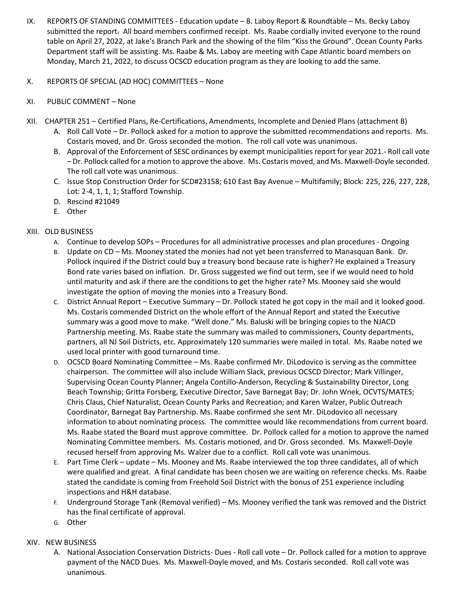- IX. REPORTS OF STANDING COMMITTEES Education update B. Laboy Report & Roundtable Ms. Becky Laboy submitted the report. All board members confirmed receipt. Ms. Raabe cordially invited everyone to the round table on April 27, 2022, at Jake's Branch Park and the showing of the film "Kiss the Ground". Ocean County Parks Department staff will be assisting. Ms. Raabe & Ms. Laboy are meeting with Cape Atlantic board members on Monday, March 21, 2022, to discuss OCSCD education program as they are looking to add the same.
- X. REPORTS OF SPECIAL (AD HOC) COMMITTEES None
- XI. PUBLIC COMMENT None
- XII. CHAPTER 251 Certified Plans, Re-Certifications, Amendments, Incomplete and Denied Plans (attachment B)
	- A. Roll Call Vote Dr. Pollock asked for a motion to approve the submitted recommendations and reports. Ms. Costaris moved, and Dr. Gross seconded the motion. The roll call vote was unanimous.
	- B. Approval of the Enforcement of SESC ordinances by exempt municipalities report for year 2021.- Roll call vote – Dr. Pollock called for a motion to approve the above. Ms. Costaris moved, and Ms. Maxwell-Doyle seconded. The roll call vote was unanimous.
	- C. Issue Stop Construction Order for SCD#23158; 610 East Bay Avenue Multifamily; Block: 225, 226, 227, 228, Lot: 2-4, 1, 1, 1; Stafford Township.
	- D. Rescind #21049
	- E. Other

## XIII. OLD BUSINESS

- A. Continue to develop SOPs Procedures for all administrative processes and plan procedures Ongoing
- B. Update on CD Ms. Mooney stated the monies had not yet been transferred to Manasquan Bank. Dr. Pollock inquired if the District could buy a treasury bond because rate is higher? He explained a Treasury Bond rate varies based on inflation. Dr. Gross suggested we find out term, see if we would need to hold until maturity and ask if there are the conditions to get the higher rate? Ms. Mooney said she would investigate the option of moving the monies into a Treasury Bond.
- C. District Annual Report Executive Summary Dr. Pollock stated he got copy in the mail and it looked good. Ms. Costaris commended District on the whole effort of the Annual Report and stated the Executive summary was a good move to make. "Well done." Ms. Baluski will be bringing copies to the NJACD Partnership meeting. Ms. Raabe state the summary was mailed to commissioners, County departments, partners, all NJ Soil Districts, etc. Approximately 120 summaries were mailed in total. Ms. Raabe noted we used local printer with good turnaround time.
- D. OCSCD Board Nominating Committee Ms. Raabe confirmed Mr. DiLodovico is serving as the committee chairperson. The committee will also include William Slack, previous OCSCD Director; Mark Villinger, Supervising Ocean County Planner; Angela Contillo-Anderson, Recycling & Sustainability Director, Long Beach Township; Gritta Forsberg, Executive Director, Save Barnegat Bay; Dr. John Wnek, OCVTS/MATES; Chris Claus, Chief Naturalist, Ocean County Parks and Recreation; and Karen Walzer, Public Outreach Coordinator, Barnegat Bay Partnership. Ms. Raabe confirmed she sent Mr. DiLodovico all necessary information to about nominating process. The committee would like recommendations from current board. Ms. Raabe stated the Board must approve committee. Dr. Pollock called for a motion to approve the named Nominating Committee members. Ms. Costaris motioned, and Dr. Gross seconded. Ms. Maxwell-Doyle recused herself from approving Ms. Walzer due to a conflict. Roll call vote was unanimous.
- E. Part Time Clerk update Ms. Mooney and Ms. Raabe interviewed the top three candidates, all of which were qualified and great. A final candidate has been chosen we are waiting on reference checks. Ms. Raabe stated the candidate is coming from Freehold Soil District with the bonus of 251 experience including inspections and H&H database.
- F. Underground Storage Tank (Removal verified) Ms. Mooney verified the tank was removed and the District has the final certificate of approval.
- G. Other

## XIV. NEW BUSINESS

A. National Association Conservation Districts- Dues - Roll call vote – Dr. Pollock called for a motion to approve payment of the NACD Dues. Ms. Maxwell-Doyle moved, and Ms. Costaris seconded. Roll call vote was unanimous.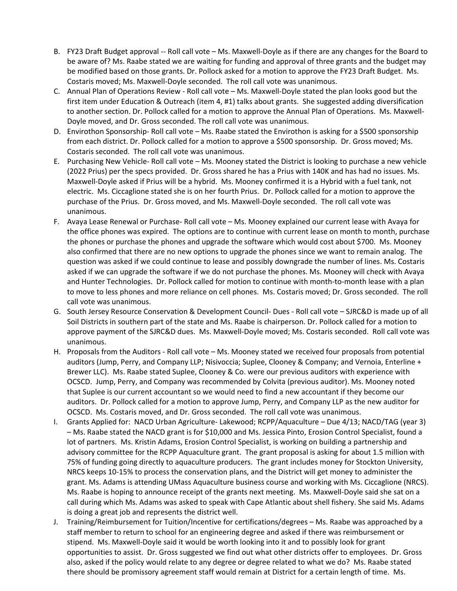- B. FY23 Draft Budget approval -- Roll call vote Ms. Maxwell-Doyle as if there are any changes for the Board to be aware of? Ms. Raabe stated we are waiting for funding and approval of three grants and the budget may be modified based on those grants. Dr. Pollock asked for a motion to approve the FY23 Draft Budget. Ms. Costaris moved; Ms. Maxwell-Doyle seconded. The roll call vote was unanimous.
- C. Annual Plan of Operations Review Roll call vote Ms. Maxwell-Doyle stated the plan looks good but the first item under Education & Outreach (item 4, #1) talks about grants. She suggested adding diversification to another section. Dr. Pollock called for a motion to approve the Annual Plan of Operations. Ms. Maxwell-Doyle moved, and Dr. Gross seconded. The roll call vote was unanimous.
- D. Envirothon Sponsorship- Roll call vote Ms. Raabe stated the Envirothon is asking for a \$500 sponsorship from each district. Dr. Pollock called for a motion to approve a \$500 sponsorship. Dr. Gross moved; Ms. Costaris seconded. The roll call vote was unanimous.
- E. Purchasing New Vehicle- Roll call vote Ms. Mooney stated the District is looking to purchase a new vehicle (2022 Prius) per the specs provided. Dr. Gross shared he has a Prius with 140K and has had no issues. Ms. Maxwell-Doyle asked if Prius will be a hybrid. Ms. Mooney confirmed it is a Hybrid with a fuel tank, not electric. Ms. Ciccaglione stated she is on her fourth Prius. Dr. Pollock called for a motion to approve the purchase of the Prius. Dr. Gross moved, and Ms. Maxwell-Doyle seconded. The roll call vote was unanimous.
- F. Avaya Lease Renewal or Purchase- Roll call vote Ms. Mooney explained our current lease with Avaya for the office phones was expired. The options are to continue with current lease on month to month, purchase the phones or purchase the phones and upgrade the software which would cost about \$700. Ms. Mooney also confirmed that there are no new options to upgrade the phones since we want to remain analog. The question was asked if we could continue to lease and possibly downgrade the number of lines. Ms. Costaris asked if we can upgrade the software if we do not purchase the phones. Ms. Mooney will check with Avaya and Hunter Technologies. Dr. Pollock called for motion to continue with month-to-month lease with a plan to move to less phones and more reliance on cell phones. Ms. Costaris moved; Dr. Gross seconded. The roll call vote was unanimous.
- G. South Jersey Resource Conservation & Development Council- Dues Roll call vote SJRC&D is made up of all Soil Districts in southern part of the state and Ms. Raabe is chairperson. Dr. Pollock called for a motion to approve payment of the SJRC&D dues. Ms. Maxwell-Doyle moved; Ms. Costaris seconded. Roll call vote was unanimous.
- H. Proposals from the Auditors Roll call vote Ms. Mooney stated we received four proposals from potential auditors (Jump, Perry, and Company LLP; Nisivoccia; Suplee, Clooney & Company; and Vernoia, Enterline + Brewer LLC). Ms. Raabe stated Suplee, Clooney & Co. were our previous auditors with experience with OCSCD. Jump, Perry, and Company was recommended by Colvita (previous auditor). Ms. Mooney noted that Suplee is our current accountant so we would need to find a new accountant if they become our auditors. Dr. Pollock called for a motion to approve Jump, Perry, and Company LLP as the new auditor for OCSCD. Ms. Costaris moved, and Dr. Gross seconded. The roll call vote was unanimous.
- I. Grants Applied for: NACD Urban Agriculture- Lakewood; RCPP/Aquaculture Due 4/13; NACD/TAG (year 3) – Ms. Raabe stated the NACD grant is for \$10,000 and Ms. Jessica Pinto, Erosion Control Specialist, found a lot of partners. Ms. Kristin Adams, Erosion Control Specialist, is working on building a partnership and advisory committee for the RCPP Aquaculture grant. The grant proposal is asking for about 1.5 million with 75% of funding going directly to aquaculture producers. The grant includes money for Stockton University, NRCS keeps 10-15% to process the conservation plans, and the District will get money to administer the grant. Ms. Adams is attending UMass Aquaculture business course and working with Ms. Ciccaglione (NRCS). Ms. Raabe is hoping to announce receipt of the grants next meeting. Ms. Maxwell-Doyle said she sat on a call during which Ms. Adams was asked to speak with Cape Atlantic about shell fishery. She said Ms. Adams is doing a great job and represents the district well.
- J. Training/Reimbursement for Tuition/Incentive for certifications/degrees Ms. Raabe was approached by a staff member to return to school for an engineering degree and asked if there was reimbursement or stipend. Ms. Maxwell-Doyle said it would be worth looking into it and to possibly look for grant opportunities to assist. Dr. Gross suggested we find out what other districts offer to employees. Dr. Gross also, asked if the policy would relate to any degree or degree related to what we do? Ms. Raabe stated there should be promissory agreement staff would remain at District for a certain length of time. Ms.